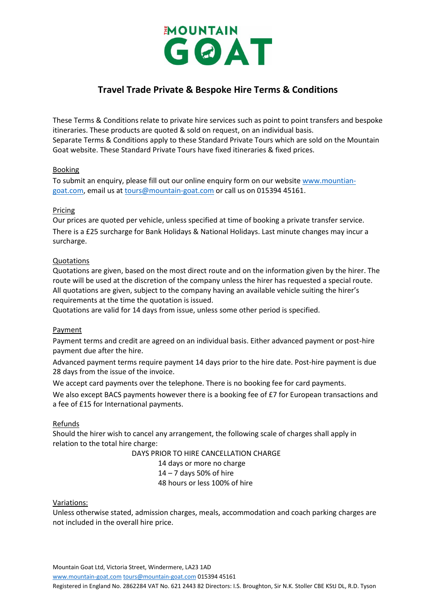

# **Travel Trade Private & Bespoke Hire Terms & Conditions**

These Terms & Conditions relate to private hire services such as point to point transfers and bespoke itineraries. These products are quoted & sold on request, on an individual basis. Separate Terms & Conditions apply to these Standard Private Tours which are sold on the Mountain Goat website. These Standard Private Tours have fixed itineraries & fixed prices.

# Booking

To submit an enquiry, please fill out our online enquiry form on our website [www.mountian](http://www.mountian-goat.com/)[goat.com,](http://www.mountian-goat.com/) email us at [tours@mountain-goat.com](mailto:tours@mountain-goat.com) or call us on 015394 45161.

#### Pricing

Our prices are quoted per vehicle, unless specified at time of booking a private transfer service. There is a £25 surcharge for Bank Holidays & National Holidays. Last minute changes may incur a surcharge.

# Quotations

Quotations are given, based on the most direct route and on the information given by the hirer. The route will be used at the discretion of the company unless the hirer has requested a special route. All quotations are given, subject to the company having an available vehicle suiting the hirer's requirements at the time the quotation is issued.

Quotations are valid for 14 days from issue, unless some other period is specified.

#### Payment

Payment terms and credit are agreed on an individual basis. Either advanced payment or post-hire payment due after the hire.

Advanced payment terms require payment 14 days prior to the hire date. Post-hire payment is due 28 days from the issue of the invoice.

We accept card payments over the telephone. There is no booking fee for card payments. We also except BACS payments however there is a booking fee of £7 for European transactions and a fee of £15 for International payments.

#### Refunds

Should the hirer wish to cancel any arrangement, the following scale of charges shall apply in relation to the total hire charge:

DAYS PRIOR TO HIRE CANCELLATION CHARGE

14 days or more no charge 14 – 7 days 50% of hire 48 hours or less 100% of hire

#### Variations:

Unless otherwise stated, admission charges, meals, accommodation and coach parking charges are not included in the overall hire price.

Mountain Goat Ltd, Victoria Street, Windermere, LA23 1AD

[www.mountain-goat.com](http://www.mountain-goat.com/) [tours@mountain-goat.com](mailto:tours@mountain-goat.com) 015394 45161

Registered in England No. 2862284 VAT No. 621 2443 82 Directors: I.S. Broughton, Sir N.K. Stoller CBE KStJ DL, R.D. Tyson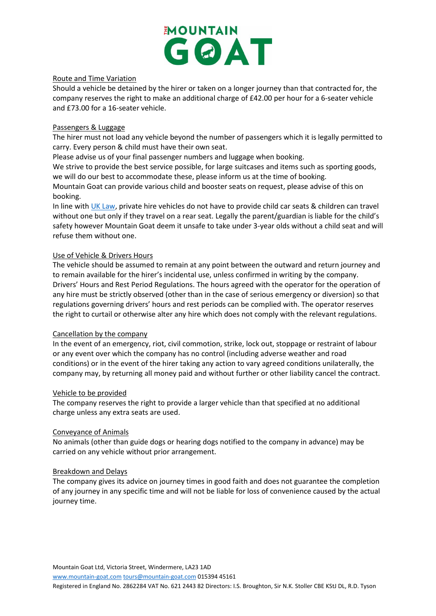

#### Route and Time Variation

Should a vehicle be detained by the hirer or taken on a longer journey than that contracted for, the company reserves the right to make an additional charge of £42.00 per hour for a 6-seater vehicle and £73.00 for a 16-seater vehicle.

## Passengers & Luggage

The hirer must not load any vehicle beyond the number of passengers which it is legally permitted to carry. Every person & child must have their own seat.

Please advise us of your final passenger numbers and luggage when booking.

We strive to provide the best service possible, for large suitcases and items such as sporting goods, we will do our best to accommodate these, please inform us at the time of booking. Mountain Goat can provide various child and booster seats on request, please advise of this on booking.

In line with [UK Law,](https://www.gov.uk/child-car-seats-the-rules/when-a-child-can-travel-without-a-car-seat) private hire vehicles do not have to provide child car seats & children can travel without one but only if they travel on a rear seat. Legally the parent/guardian is liable for the child's safety however Mountain Goat deem it unsafe to take under 3-year olds without a child seat and will refuse them without one.

# Use of Vehicle & Drivers Hours

The vehicle should be assumed to remain at any point between the outward and return journey and to remain available for the hirer's incidental use, unless confirmed in writing by the company. Drivers' Hours and Rest Period Regulations. The hours agreed with the operator for the operation of any hire must be strictly observed (other than in the case of serious emergency or diversion) so that regulations governing drivers' hours and rest periods can be complied with. The operator reserves the right to curtail or otherwise alter any hire which does not comply with the relevant regulations.

#### Cancellation by the company

In the event of an emergency, riot, civil commotion, strike, lock out, stoppage or restraint of labour or any event over which the company has no control (including adverse weather and road conditions) or in the event of the hirer taking any action to vary agreed conditions unilaterally, the company may, by returning all money paid and without further or other liability cancel the contract.

#### Vehicle to be provided

The company reserves the right to provide a larger vehicle than that specified at no additional charge unless any extra seats are used.

#### Conveyance of Animals

No animals (other than guide dogs or hearing dogs notified to the company in advance) may be carried on any vehicle without prior arrangement.

#### Breakdown and Delays

The company gives its advice on journey times in good faith and does not guarantee the completion of any journey in any specific time and will not be liable for loss of convenience caused by the actual journey time.

Mountain Goat Ltd, Victoria Street, Windermere, LA23 1AD

[www.mountain-goat.com](http://www.mountain-goat.com/) [tours@mountain-goat.com](mailto:tours@mountain-goat.com) 015394 45161

Registered in England No. 2862284 VAT No. 621 2443 82 Directors: I.S. Broughton, Sir N.K. Stoller CBE KStJ DL, R.D. Tyson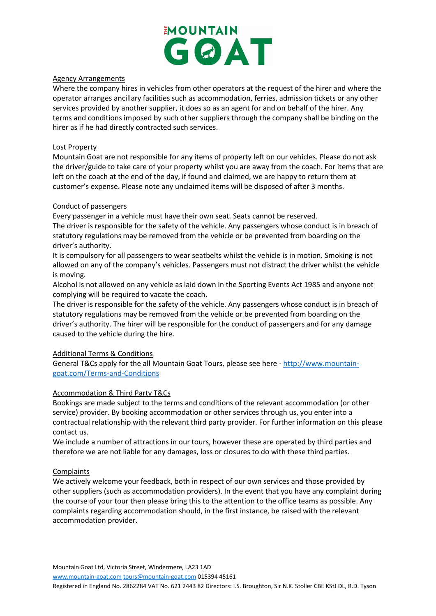

# Agency Arrangements

Where the company hires in vehicles from other operators at the request of the hirer and where the operator arranges ancillary facilities such as accommodation, ferries, admission tickets or any other services provided by another supplier, it does so as an agent for and on behalf of the hirer. Any terms and conditions imposed by such other suppliers through the company shall be binding on the hirer as if he had directly contracted such services.

## Lost Property

Mountain Goat are not responsible for any items of property left on our vehicles. Please do not ask the driver/guide to take care of your property whilst you are away from the coach. For items that are left on the coach at the end of the day, if found and claimed, we are happy to return them at customer's expense. Please note any unclaimed items will be disposed of after 3 months.

# Conduct of passengers

Every passenger in a vehicle must have their own seat. Seats cannot be reserved.

The driver is responsible for the safety of the vehicle. Any passengers whose conduct is in breach of statutory regulations may be removed from the vehicle or be prevented from boarding on the driver's authority.

It is compulsory for all passengers to wear seatbelts whilst the vehicle is in motion. Smoking is not allowed on any of the company's vehicles. Passengers must not distract the driver whilst the vehicle is moving.

Alcohol is not allowed on any vehicle as laid down in the Sporting Events Act 1985 and anyone not complying will be required to vacate the coach.

The driver is responsible for the safety of the vehicle. Any passengers whose conduct is in breach of statutory regulations may be removed from the vehicle or be prevented from boarding on the driver's authority. The hirer will be responsible for the conduct of passengers and for any damage caused to the vehicle during the hire.

# Additional Terms & Conditions

General T&Cs apply for the all Mountain Goat Tours, please see here - [http://www.mountain](http://www.mountain-goat.com/Terms-and-Conditions)[goat.com/Terms-and-Conditions](http://www.mountain-goat.com/Terms-and-Conditions)

# Accommodation & Third Party T&Cs

Bookings are made subject to the terms and conditions of the relevant accommodation (or other service) provider. By booking accommodation or other services through us, you enter into a contractual relationship with the relevant third party provider. For further information on this please contact us.

We include a number of attractions in our tours, however these are operated by third parties and therefore we are not liable for any damages, loss or closures to do with these third parties.

#### **Complaints**

We actively welcome your feedback, both in respect of our own services and those provided by other suppliers (such as accommodation providers). In the event that you have any complaint during the course of your tour then please bring this to the attention to the office teams as possible. Any complaints regarding accommodation should, in the first instance, be raised with the relevant accommodation provider.